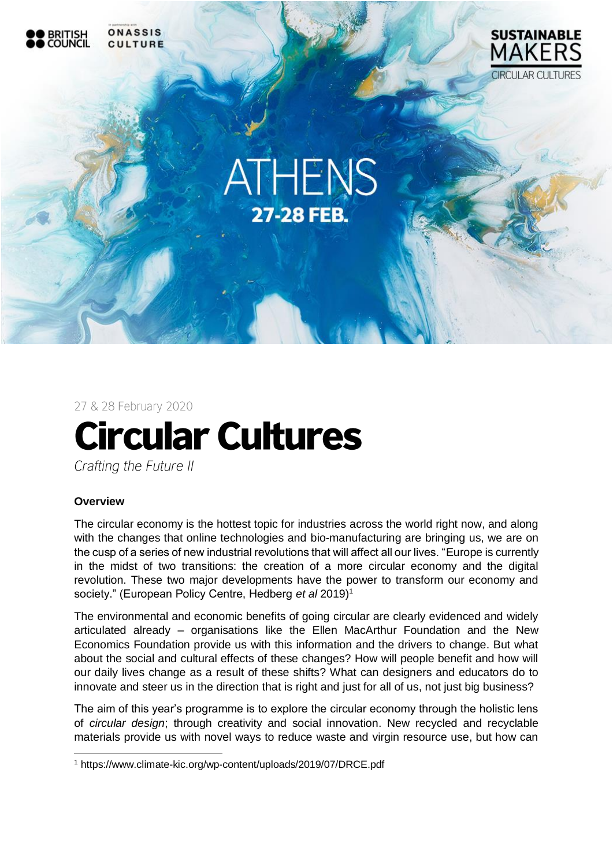

27 & 28 February 2020

# **Circular Cultures**

Crafting the Future II

#### **Overview**

1

The circular economy is the hottest topic for industries across the world right now, and along with the changes that online technologies and bio-manufacturing are bringing us, we are on the cusp of a series of new industrial revolutions that will affect all our lives. "Europe is currently in the midst of two transitions: the creation of a more circular economy and the digital revolution. These two major developments have the power to transform our economy and society." (European Policy Centre, Hedberg *et al* 2019)<sup>1</sup>

The environmental and economic benefits of going circular are clearly evidenced and widely articulated already – organisations like the Ellen MacArthur Foundation and the New Economics Foundation provide us with this information and the drivers to change. But what about the social and cultural effects of these changes? How will people benefit and how will our daily lives change as a result of these shifts? What can designers and educators do to innovate and steer us in the direction that is right and just for all of us, not just big business?

The aim of this year's programme is to explore the circular economy through the holistic lens of *circular design*; through creativity and social innovation. New recycled and recyclable materials provide us with novel ways to reduce waste and virgin resource use, but how can

<sup>1</sup> <https://www.climate-kic.org/wp-content/uploads/2019/07/DRCE.pdf>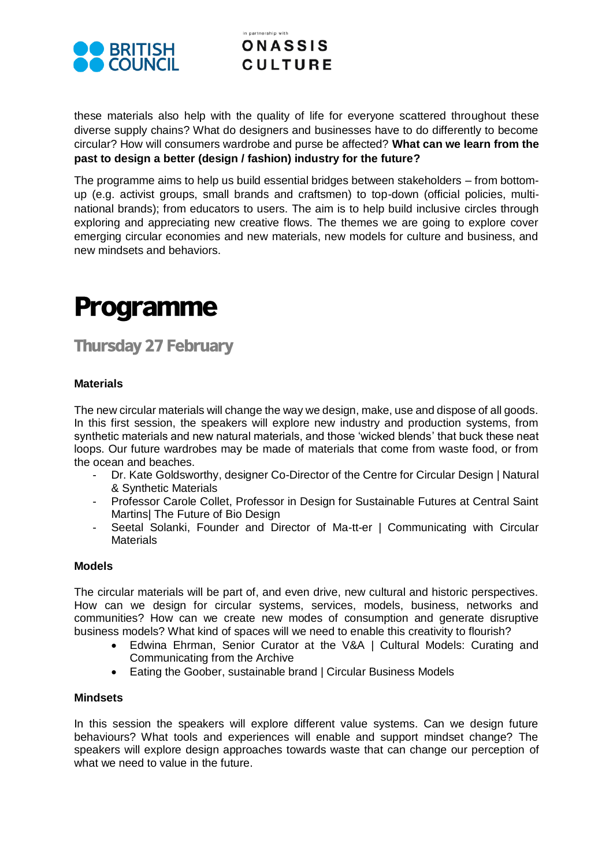

#### in nartnershin with **ONASSIS CULTURE**

these materials also help with the quality of life for everyone scattered throughout these diverse supply chains? What do designers and businesses have to do differently to become circular? How will consumers wardrobe and purse be affected? **What can we learn from the past to design a better (design / fashion) industry for the future?** 

The programme aims to help us build essential bridges between stakeholders – from bottomup (e.g. activist groups, small brands and craftsmen) to top-down (official policies, multinational brands); from educators to users. The aim is to help build inclusive circles through exploring and appreciating new creative flows. The themes we are going to explore cover emerging circular economies and new materials, new models for culture and business, and new mindsets and behaviors.

# **Programme**

**Thursday 27 February** 

#### **Materials**

The new circular materials will change the way we design, make, use and dispose of all goods. In this first session, the speakers will explore new industry and production systems, from synthetic materials and new natural materials, and those 'wicked blends' that buck these neat loops. Our future wardrobes may be made of materials that come from waste food, or from the ocean and beaches.

- Dr. Kate Goldsworthy, designer Co-Director of the Centre for Circular Design | Natural & Synthetic Materials
- Professor Carole Collet, Professor in Design for Sustainable Futures at Central Saint Martins| The Future of Bio Design
- Seetal Solanki, Founder and Director of Ma-tt-er | Communicating with Circular **Materials**

#### **Models**

The circular materials will be part of, and even drive, new cultural and historic perspectives. How can we design for circular systems, services, models, business, networks and communities? How can we create new modes of consumption and generate disruptive business models? What kind of spaces will we need to enable this creativity to flourish?

- Edwina Ehrman, Senior Curator at the V&A | Cultural Models: Curating and Communicating from the Archive
- Eating the Goober, sustainable brand I Circular Business Models

#### **Mindsets**

In this session the speakers will explore different value systems. Can we design future behaviours? What tools and experiences will enable and support mindset change? The speakers will explore design approaches towards waste that can change our perception of what we need to value in the future.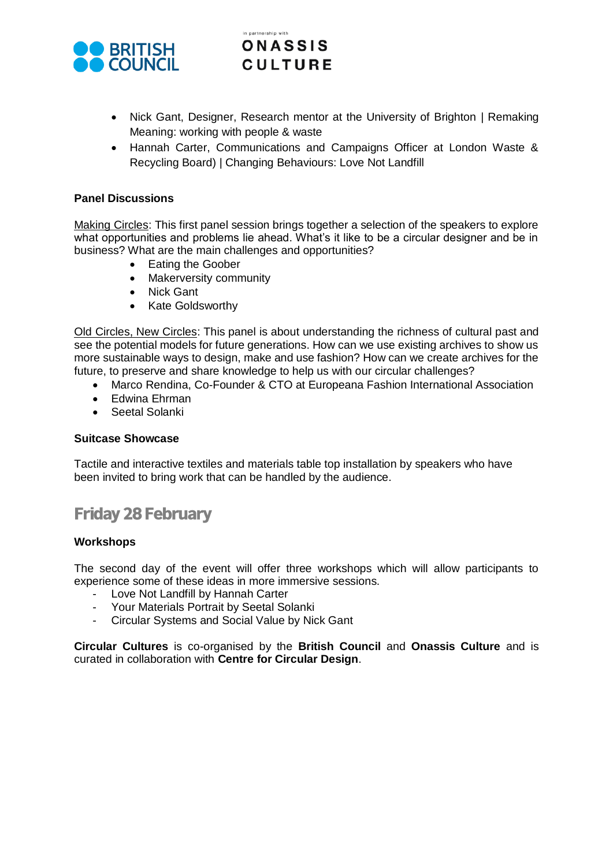

#### in nartnershin with **ONASSIS CULTURE**

- Nick Gant, Designer, Research mentor at the University of Brighton | Remaking Meaning: working with people & waste
- Hannah Carter, Communications and Campaigns Officer at London Waste & Recycling Board) | Changing Behaviours: Love Not Landfill

#### **Panel Discussions**

Making Circles: This first panel session brings together a selection of the speakers to explore what opportunities and problems lie ahead. What's it like to be a circular designer and be in business? What are the main challenges and opportunities?

- Eating the Goober
- Makerversity community
- Nick Gant
- Kate Goldsworthy

Old Circles, New Circles: This panel is about understanding the richness of cultural past and see the potential models for future generations. How can we use existing archives to show us more sustainable ways to design, make and use fashion? How can we create archives for the future, to preserve and share knowledge to help us with our circular challenges?

- Marco Rendina, Co-Founder & CTO at Europeana Fashion International Association
- Edwina Ehrman
- Seetal Solanki

#### **Suitcase Showcase**

Tactile and interactive textiles and materials table top installation by speakers who have been invited to bring work that can be handled by the audience.

## **Friday 28 February**

#### **Workshops**

The second day of the event will offer three workshops which will allow participants to experience some of these ideas in more immersive sessions.

- Love Not Landfill by Hannah Carter
- Your Materials Portrait by Seetal Solanki
- Circular Systems and Social Value by Nick Gant

**Circular Cultures** is co-organised by the **British Council** and **Onassis Culture** and is curated in collaboration with **Centre for Circular Design**.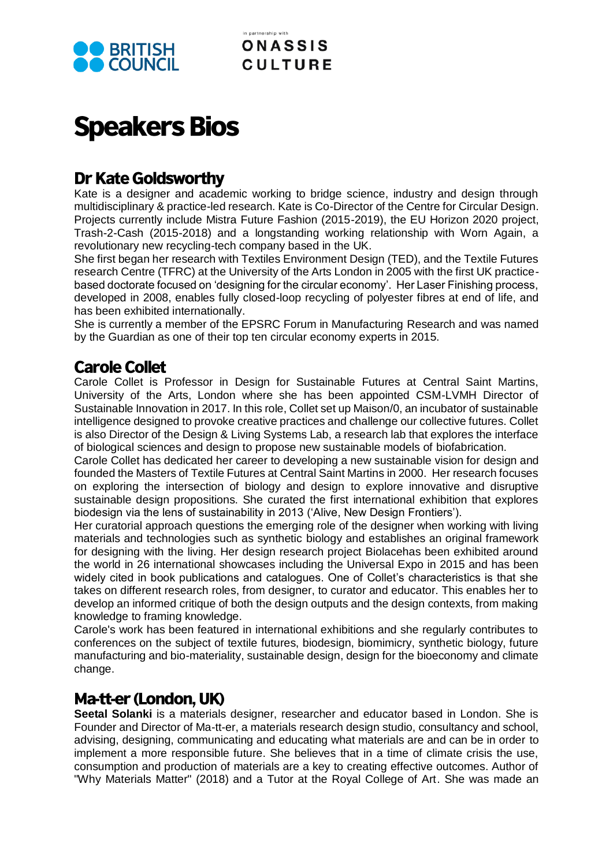

# **Speakers Bios**

## **Dr Kate Goldsworthy**

Kate is a designer and academic working to bridge science, industry and design through multidisciplinary & practice-led research. Kate is Co-Director of the Centre for Circular Design. Projects currently include Mistra Future Fashion (2015-2019), the EU Horizon 2020 project, Trash-2-Cash (2015-2018) and a longstanding working relationship with Worn Again, a revolutionary new recycling-tech company based in the UK.

She first began her research with Textiles Environment Design (TED), and the Textile Futures research Centre (TFRC) at the University of the Arts London in 2005 with the first UK practicebased doctorate focused on 'designing for the circular economy'. Her Laser Finishing process, developed in 2008, enables fully closed-loop recycling of polyester fibres at end of life, and has been exhibited internationally.

She is currently a member of the EPSRC Forum in Manufacturing Research and was named by the Guardian as one of their top ten circular economy experts in 2015.

## **Carole Collet**

Carole Collet is Professor in Design for Sustainable Futures at Central Saint Martins, University of the Arts, London where she has been appointed CSM-LVMH Director of Sustainable Innovation in 2017. In this role, Collet set up Maison/0, an incubator of sustainable intelligence designed to provoke creative practices and challenge our collective futures. Collet is also Director of the Design & Living Systems Lab, a research lab that explores the interface of biological sciences and design to propose new sustainable models of biofabrication.

Carole Collet has dedicated her career to developing a new sustainable vision for design and founded the Masters of Textile Futures at Central Saint Martins in 2000. Her research focuses on exploring the intersection of biology and design to explore innovative and disruptive sustainable design propositions. She curated the first international exhibition that explores biodesign via the lens of sustainability in 2013 ('Alive, New Design Frontiers').

Her curatorial approach questions the emerging role of the designer when working with living materials and technologies such as synthetic biology and establishes an original framework for designing with the living. Her design research project Biolacehas been exhibited around the world in 26 international showcases including the Universal Expo in 2015 and has been widely cited in book publications and catalogues. One of Collet's characteristics is that she takes on different research roles, from designer, to curator and educator. This enables her to develop an informed critique of both the design outputs and the design contexts, from making knowledge to framing knowledge.

Carole's work has been featured in international exhibitions and she regularly contributes to conferences on the subject of textile futures, biodesign, biomimicry, synthetic biology, future manufacturing and bio-materiality, sustainable design, design for the bioeconomy and climate change.

## Ma-tt-er (London, UK)

**Seetal Solanki** is a materials designer, researcher and educator based in London. She is Founder and Director of Ma-tt-er, a materials research design studio, consultancy and school, advising, designing, communicating and educating what materials are and can be in order to implement a more responsible future. She believes that in a time of climate crisis the use, consumption and production of materials are a key to creating effective outcomes. Author of "Why Materials Matter" (2018) and a Tutor at the Royal College of Art. She was made an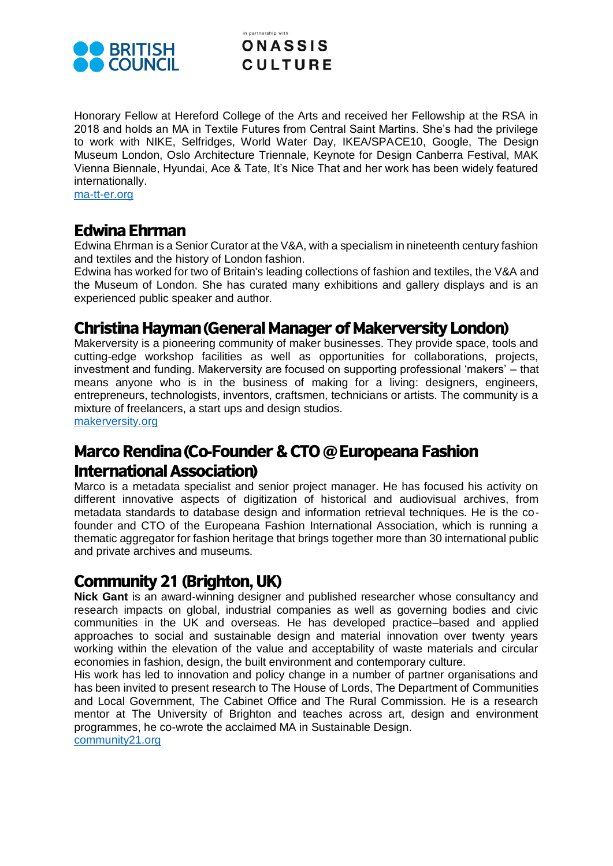

#### in nartnershin with **ONASSIS CULTURE**

Honorary Fellow at Hereford College of the Arts and received her Fellowship at the RSA in 2018 and holds an MA in Textile Futures from Central Saint Martins. She's had the privilege to work with NIKE, Selfridges, World Water Day, IKEA/SPACE10, Google, The Design Museum London, Oslo Architecture Triennale, Keynote for Design Canberra Festival, MAK Vienna Biennale, Hyundai, Ace & Tate, It's Nice That and her work has been widely featured internationally.

[ma-tt-er.org](https://ma-tt-er.org/)

### **Edwina Ehrman**

Edwina Ehrman is a Senior Curator at the V&A, with a specialism in nineteenth century fashion and textiles and the history of London fashion.

Edwina has worked for two of Britain's leading collections of fashion and textiles, the V&A and the Museum of London. She has curated many exhibitions and gallery displays and is an experienced public speaker and author.

## **Christina Hayman (General Manager of Makerversity London)**

Makerversity is a pioneering community of maker businesses. They provide space, tools and cutting-edge workshop facilities as well as opportunities for collaborations, projects, investment and funding. Makerversity are focused on supporting professional 'makers' – that means anyone who is in the business of making for a living: designers, engineers, entrepreneurs, technologists, inventors, craftsmen, technicians or artists. The community is a mixture of freelancers, a start ups and design studios.

[makerversity.org](https://makerversity.org/)

## Marco Rendina (Co-Founder & CTO @ Europeana Fashion **International Association)**

Marco is a metadata specialist and senior project manager. He has focused his activity on different innovative aspects of digitization of historical and audiovisual archives, from metadata standards to database design and information retrieval techniques. He is the cofounder and CTO of the Europeana Fashion International Association, which is running a thematic aggregator for fashion heritage that brings together more than 30 international public and private archives and museums.

## **Community 21 (Brighton, UK)**

**Nick Gant** is an award-winning designer and published researcher whose consultancy and research impacts on global, industrial companies as well as governing bodies and civic communities in the UK and overseas. He has developed practice–based and applied approaches to social and sustainable design and material innovation over twenty years working within the elevation of the value and acceptability of waste materials and circular economies in fashion, design, the built environment and contemporary culture.

His work has led to innovation and policy change in a number of partner organisations and has been invited to present research to The House of Lords, The Department of Communities and Local Government, The Cabinet Office and The Rural Commission. He is a research mentor at The University of Brighton and teaches across art, design and environment programmes, he co-wrote the acclaimed MA in Sustainable Design.

[community21.org](https://community21.org/)